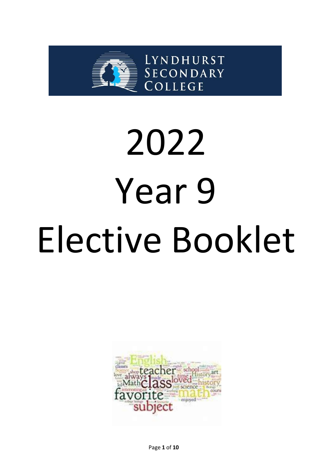

# 2022 Year 9 Elective Booklet

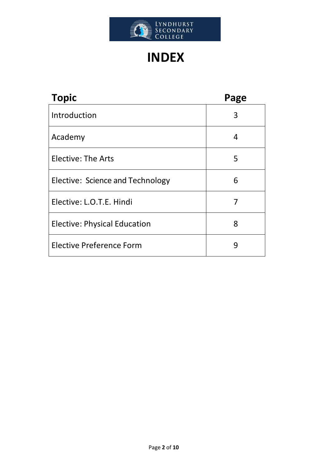

# **INDEX**

| <b>Topic</b>                        | Page |
|-------------------------------------|------|
| Introduction                        | 3    |
| Academy                             | 4    |
| Elective: The Arts                  | 5    |
| Elective: Science and Technology    | 6    |
| Elective: L.O.T.E. Hindi            | 7    |
| <b>Elective: Physical Education</b> | 8    |
| <b>Elective Preference Form</b>     | 9    |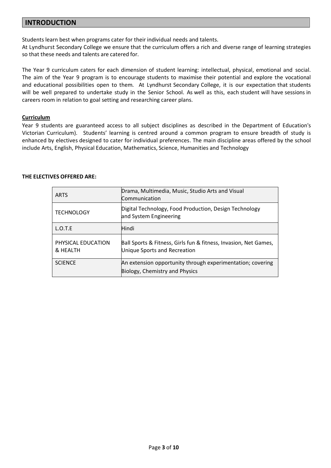#### **INTRODUCTION**

Students learn best when programs cater for their individual needs and talents.

At Lyndhurst Secondary College we ensure that the curriculum offers a rich and diverse range of learning strategies so that these needs and talents are catered for.

The Year 9 curriculum caters for each dimension of student learning: intellectual, physical, emotional and social. The aim of the Year 9 program is to encourage students to maximise their potential and explore the vocational and educational possibilities open to them. At Lyndhurst Secondary College, it is our expectation that students will be well prepared to undertake study in the Senior School. As well as this, each student will have sessions in careers room in relation to goal setting and researching career plans.

#### **Curriculum**

Year 9 students are guaranteed access to all subject disciplines as described in the Department of Education's Victorian Curriculum). Students' learning is centred around a common program to ensure breadth of study is enhanced by electives designed to cater for individual preferences. The main discipline areas offered by the school include Arts, English, Physical Education, Mathematics, Science, Humanities and Technology

#### **THE ELECTIVES OFFERED ARE:**

| <b>ARTS</b>                    | Drama, Multimedia, Music, Studio Arts and Visual<br>Communication                                |
|--------------------------------|--------------------------------------------------------------------------------------------------|
| <b>TECHNOLOGY</b>              | Digital Technology, Food Production, Design Technology<br>and System Engineering                 |
| L.O.T.E                        | Hindi                                                                                            |
| PHYSICAL EDUCATION<br>& HEALTH | Ball Sports & Fitness, Girls fun & fitness, Invasion, Net Games,<br>Unique Sports and Recreation |
| <b>SCIENCE</b>                 | An extension opportunity through experimentation; covering<br>Biology, Chemistry and Physics     |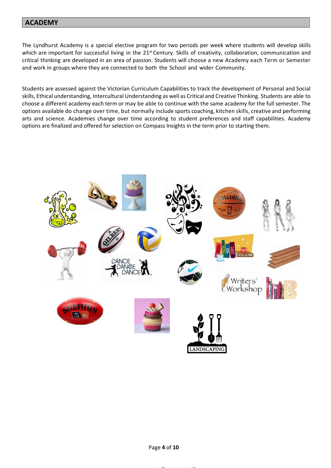#### **ACADEMY**

The Lyndhurst Academy is a special elective program for two periods per week where students will develop skills which are important for successful living in the 21<sup>st</sup> Century. Skills of creativity, collaboration, communication and critical thinking are developed in an area of passion. Students will choose a new Academy each Term or Semester and work in groups where they are connected to both the School and wider Community.

Students are assessed against the Victorian Curriculum Capabilities to track the development of Personal and Social skills, Ethical understanding, Intercultural Understanding as well as Critical and Creative Thinking. Students are able to choose a different academy each term or may be able to continue with the same academy for the full semester. The options available do change over time, but normally include sports coaching, kitchen skills, creative and performing arts and science. Academies change over time according to student preferences and staff capabilities. Academy options are finalized and offered for selection on Compass Insights in the term prior to starting them.



Page **4** of **10**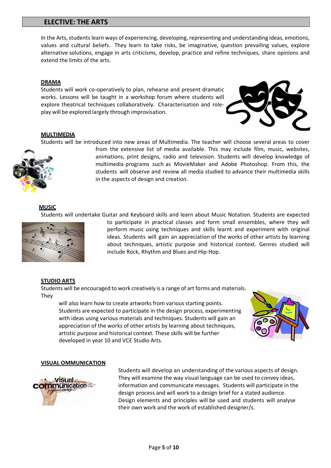#### **ELECTIVE: THE ARTS**

In the Arts, students learn ways of experiencing, developing, representing and understanding ideas, emotions, values and cultural beliefs. They learn to take risks, be imaginative, question prevailing values, explore alternative solutions, engage in arts criticisms, develop, practice and refine techniques, share opinions and extend the limits of the arts.

#### **DRAMA**

Students will work co-operatively to plan, rehearse and present dramatic works. Lessons will be taught in a workshop forum where students will explore theatrical techniques collaboratively. Characterisation and roleplay will be explored largely through improvisation.



#### **MULTIMEDIA**

Students will be introduced into new areas of Multimedia. The teacher will choose several areas to cover



from the extensive list of media available. This may include film, music, websites, animations, print designs, radio and television. Students will develop knowledge of multimedia programs such as MovieMaker and Adobe Photoshop. From this, the students will observe and review all media studied to advance their multimedia skills in the aspects of design and creation.

#### **MUSIC**

Students will undertake Guitar and Keyboard skills and learn about Music Notation. Students are expected



to participate in practical classes and form small ensembles, where they will perform music using techniques and skills learnt and experiment with original ideas. Students will gain an appreciation of the works of other artists by learning about techniques, artistic purpose and historical context. Genres studied will include Rock, Rhythm and Blues and Hip-Hop.

#### **STUDIO ARTS**

Students will be encouraged to work creatively is a range of art forms and materials. They

will also learn how to create artworks from various starting points. Students are expected to participate in the design process, experimenting with ideas using various materials and techniques. Students will gain an appreciation of the works of other artists by learning about techniques, artistic purpose and historical context. These skills will be further developed in year 10 and VCE Studio Arts.



#### **VISUAL OMMUNICATION**



Students will develop an understanding of the various aspects of design. They will examine the way visual language can be used to convey ideas, information and communicate messages. Students will participate in the design process and will work to a design brief for a stated audience. Design elements and principles will be used and students will analyse their own work and the work of established designer/s.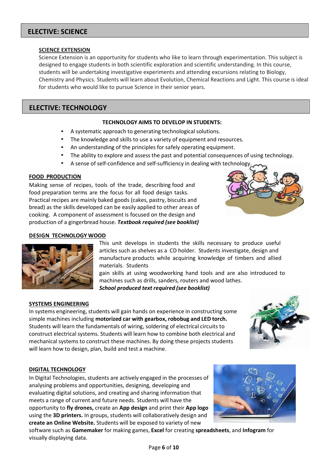# **ELECTIVE: SCIENCE**

#### **SCIENCE EXTENSION**

Science Extension is an opportunity for students who like to learn through experimentation. This subject is designed to engage students in both scientific exploration and scientific understanding. In this course, students will be undertaking investigative experiments and attending excursions relating to Biology, Chemistry and Physics. Students will learn about Evolution, Chemical Reactions and Light. This course is ideal for students who would like to pursue Science in their senior years.

#### **ELECTIVE: TECHNOLOGY**

#### **TECHNOLOGY AIMS TO DEVELOP IN STUDENTS:**

- A systematic approach to generating technological solutions.
- The knowledge and skills to use a variety of equipment and resources.
- An understanding of the principles for safely operating equipment.
- The ability to explore and assess the past and potential consequences of using technology.
- A sense of self-confidence and self-sufficiency in dealing with technology.

#### **FOOD PRODUCTION**

Making sense of recipes, tools of the trade, describing food and food preparation terms are the focus for all food design tasks. Practical recipes are mainly baked goods (cakes, pastry, biscuits and bread) as the skills developed can be easily applied to other areas of cooking. A component of assessment is focused on the design and production of a gingerbread house. *Textbook required (see booklist)*



#### **DESIGN TECHNOLOGY WOOD**

This unit develops in students the skills necessary to produce useful articles such as shelves as a CD holder. Students investigate, design and manufacture products while acquiring knowledge of timbers and allied materials. Students

gain skills at using woodworking hand tools and are also introduced to machines such as drills, sanders, routers and wood lathes. *School produced text required (see booklist)*

#### **SYSTEMS ENGINEERING**

In systems engineering, students will gain hands on experience in constructing some simple machines including **motorized car with gearbox, robobug and LED torch.** Students will learn the fundamentals of wiring, soldering of electrical circuits to construct electrical systems. Students will learn how to combine both electrical and mechanical systemsto construct these machines. By doing these projects students will learn how to design, plan, build and test a machine.



#### **DIGITAL TECHNOLOGY**

In Digital Technologies, students are actively engaged in the processes of analysing problems and opportunities, designing, developing and evaluating digital solutions, and creating and sharing information that meets a range of current and future needs. Students will have the opportunity to **fly drones,** create an **App design** and print their **App logo** using the **3D printers.** In groups, students will collaboratively design and **create an Online Website.** Students will be exposed to variety of new



software such as **Gamemaker** for making games, **Excel** for creating **spreadsheets**, and **Infogram** for visually displaying data.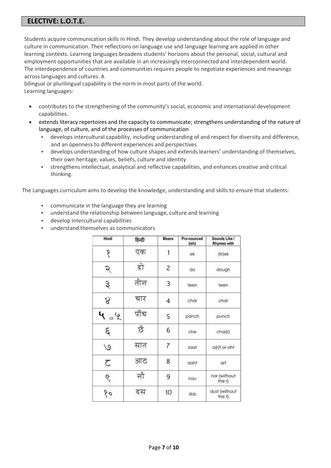# **ELECTIVE: L.O.T.E.**

Students acquire communication skills in Hindi. They develop understanding about the role of language and culture in communication. Their reflections on language use and language learning are applied in other learning contexts. Learning languages broadens students' horizons about the personal, social, cultural and employment opportunities that are available in an increasingly interconnected and interdependent world. The interdependence of countries and communities requires people to negotiate experiences and meanings across languages and cultures. A

bilingual or plurilingual capability is the norm in most parts of the world. Learning languages:

- contributes to the strengthening of the community's social, economic and international development capabilities.
- extends literacy repertoires and the capacity to communicate; strengthens understanding of the nature of language, of culture, and of the processes of communication
	- develops intercultural capability, including understanding of and respect for diversity and difference, and an openness to different experiences and perspectives
	- develops understanding of how culture shapes and extends learners' understanding of themselves, their own heritage, values, beliefs, culture and identity
	- strengthens intellectual, analytical and reflective capabilities, and enhances creative and critical thinking.

The Languages curriculum aims to develop the knowledge, understanding and skills to ensure that students:

- communicate in the language they are learning
- understand the relationship between language, culture and learning
- develop intercultural capabilities
- understand themselves as communicators

| Hindi         | हिन्दी | <b>Means</b>   | Pro-nounced<br>(ish) | Sounds Like /<br><b>Rhymes with</b> |
|---------------|--------|----------------|----------------------|-------------------------------------|
| १             | एक     | 1              | ek                   | (tr)ek                              |
| $\mathcal{S}$ | दो     | $\overline{c}$ | do                   | dough                               |
| $\omega$      | तीन    | 3              | teen                 | teen                                |
| $\infty$      | चार    | $\overline{4}$ | char                 | char                                |
| $4^{\circ}$   | पॉच    | 5              | panch                | punch                               |
| $\mathcal{E}$ | छै     | 6              | che                  | chai(r)                             |
| $\circ$       | सात    | $\overline{7}$ | saat                 | a(r)t or aht                        |
| て             | आठ     | 8              | aaht                 | art                                 |
| Ś             | नौ     | 9              | nau                  | nor (without<br>the r)              |
| १०            | दस     | 10             | das                  | dust (without<br>the t)             |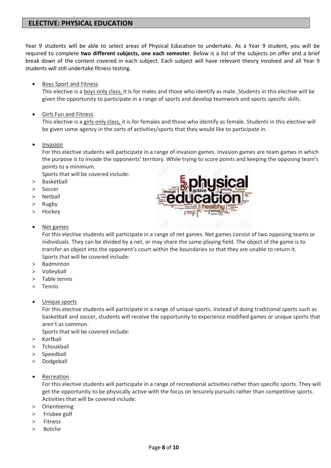# **ELECTIVE: PHYSICAL EDUCATION**

Year 9 students will be able to select areas of Physical Education to undertake. As a Year 9 student, you will be required to complete **two different subjects, one each semester**. Below is a list of the subjects on offer and a brief break down of the content covered in each subject. Each subject will have relevant theory involved and all Year 9 students will still undertake fitness testing.

Boys Sport and Fitness

This elective is a boys only class, it is for males and those who identify as male. Students in this elective will be given the opportunity to participate in a range of sports and develop teamwork and sports specific skills.

Girls Fun and Fitness

This elective is a girls only class, it is for females and those who identify as female. Students in this elective will be given some agency in the sorts of activities/sports that they would like to participate in.

• Invasion

For this elective students will participate in a range of invasion games. Invasion games are team games in which the purpose is to invade the opponents' territory. While trying to score points and keeping the opposing team's points to a minimum.

Sports that will be covered include:

- > Basketball
- > Soccer
- > Netball
- > Rugby
- > Hockey

#### • Net games

For this elective students will participate in a range of net games. Net games consist of two opposing teams or individuals. They can be divided by a net, or may share the same playing field. The object of the game is to transfer an object into the opponent's court within the boundaries so that they are unable to return it. Sports that will be covered include:

- > Badminton
- > Volleyball
- > Table tennis
- > Tennis
- Unique sports

For this elective students will participate in a range of unique sports. Instead of doing traditional sports such as basketball and soccer, students will receive the opportunity to experience modified games or unique sports that aren't as common.

Sports that will be covered include:

- > Korfball
- > Tchoukball
- > Speedball
- > Dodgeball
- Recreation

For this elective students will participate in a range of recreational activities rather than specific sports. They will get the opportunity to be physically active with the focus on leisurely pursuits rather than competitive sports. Activities that will be covered include:

- > Orienteering
- > Frisbee golf
- > Fitness
- > Botche